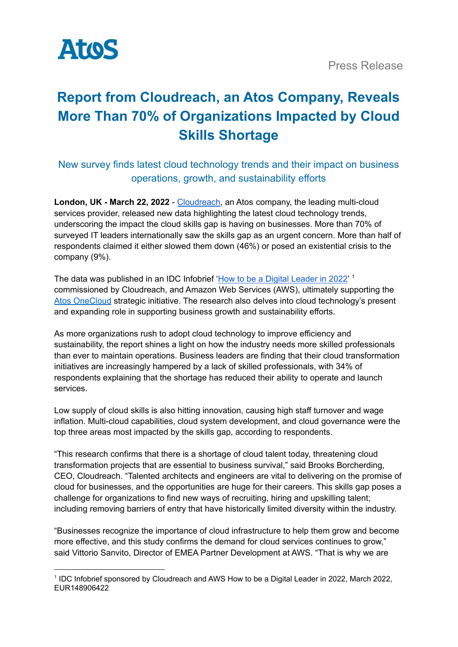

# **Report from Cloudreach, an Atos Company, Reveals More Than 70% of Organizations Impacted by Cloud Skills Shortage**

# New survey finds latest cloud technology trends and their impact on business operations, growth, and sustainability efforts

**London, UK - March 22, 2022** - [Cloudreach,](https://www.cloudreach.com/) an Atos company, the leading multi-cloud services provider, released new data highlighting the latest cloud technology trends, underscoring the impact the cloud skills gap is having on businesses. More than 70% of surveyed IT leaders internationally saw the skills gap as an urgent concern. More than half of respondents claimed it either slowed them down (46%) or posed an existential crisis to the company (9%).

The data was published in an IDC Infobrief 'How to be a Digital [Leader](https://www.cloudreach.com/en/cloud-trends/) in 2022'<sup>1</sup> commissioned by Cloudreach, and Amazon Web Services (AWS), ultimately supporting the Atos [OneCloud](https://atos.net/en/solutions/cloud-solutions/onecloud) strategic initiative. The research also delves into cloud technology's present and expanding role in supporting business growth and sustainability efforts.

As more organizations rush to adopt cloud technology to improve efficiency and sustainability, the report shines a light on how the industry needs more skilled professionals than ever to maintain operations. Business leaders are finding that their cloud transformation initiatives are increasingly hampered by a lack of skilled professionals, with 34% of respondents explaining that the shortage has reduced their ability to operate and launch services.

Low supply of cloud skills is also hitting innovation, causing high staff turnover and wage inflation. Multi-cloud capabilities, cloud system development, and cloud governance were the top three areas most impacted by the skills gap, according to respondents.

"This research confirms that there is a shortage of cloud talent today, threatening cloud transformation projects that are essential to business survival," said Brooks Borcherding, CEO, Cloudreach. "Talented architects and engineers are vital to delivering on the promise of cloud for businesses, and the opportunities are huge for their careers. This skills gap poses a challenge for organizations to find new ways of recruiting, hiring and upskilling talent; including removing barriers of entry that have historically limited diversity within the industry.

"Businesses recognize the importance of cloud infrastructure to help them grow and become more effective, and this study confirms the demand for cloud services continues to grow," said Vittorio Sanvito, Director of EMEA Partner Development at AWS. "That is why we are

<sup>&</sup>lt;sup>1</sup> IDC Infobrief sponsored by Cloudreach and AWS How to be a Digital Leader in 2022, March 2022, EUR148906422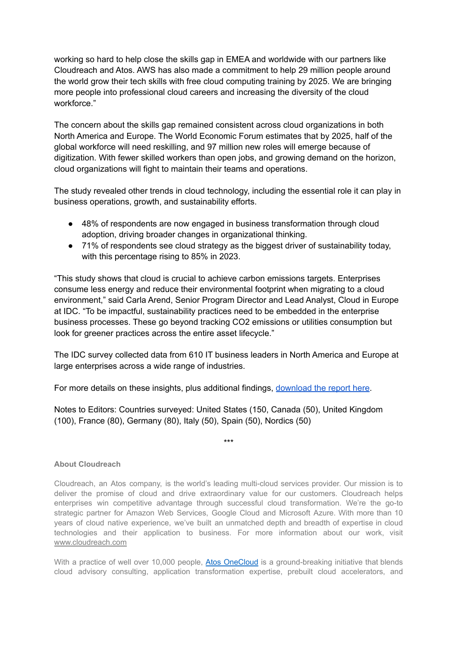working so hard to help close the skills gap in EMEA and worldwide with our partners like Cloudreach and Atos. AWS has also made a commitment to help 29 million people around the world grow their tech skills with free cloud computing training by 2025. We are bringing more people into professional cloud careers and increasing the diversity of the cloud workforce."

The concern about the skills gap remained consistent across cloud organizations in both North America and Europe. The World Economic Forum estimates that by 2025, half of the global workforce will need reskilling, and 97 million new roles will emerge because of digitization. With fewer skilled workers than open jobs, and growing demand on the horizon, cloud organizations will fight to maintain their teams and operations.

The study revealed other trends in cloud technology, including the essential role it can play in business operations, growth, and sustainability efforts.

- 48% of respondents are now engaged in business transformation through cloud adoption, driving broader changes in organizational thinking.
- 71% of respondents see cloud strategy as the biggest driver of sustainability today, with this percentage rising to 85% in 2023.

"This study shows that cloud is crucial to achieve carbon emissions targets. Enterprises consume less energy and reduce their environmental footprint when migrating to a cloud environment," said Carla Arend, Senior Program Director and Lead Analyst, Cloud in Europe at IDC. "To be impactful, sustainability practices need to be embedded in the enterprise business processes. These go beyond tracking CO2 emissions or utilities consumption but look for greener practices across the entire asset lifecycle."

The IDC survey collected data from 610 IT business leaders in North America and Europe at large enterprises across a wide range of industries.

For more details on these insights, plus additional findings, [download](https://www.cloudreach.com/en/cloud-trends/) the report here.

Notes to Editors: Countries surveyed: United States (150, Canada (50), United Kingdom (100), France (80), Germany (80), Italy (50), Spain (50), Nordics (50)

\*\*\*

## **About Cloudreach**

Cloudreach, an Atos company, is the world's leading multi-cloud services provider. Our mission is to deliver the promise of cloud and drive extraordinary value for our customers. Cloudreach helps enterprises win competitive advantage through successful cloud transformation. We're the go-to strategic partner for Amazon Web Services, Google Cloud and Microsoft Azure. With more than 10 years of cloud native experience, we've built an unmatched depth and breadth of expertise in cloud technologies and their application to business. For more information about our work, visit [www.cloudreach.com](http://www.cloudreach.com/)

With a practice of well over 10,000 people, Atos [OneCloud](https://atos.net/en/solutions/cloud-solutions/onecloud) is a ground-breaking initiative that blends cloud advisory consulting, application transformation expertise, prebuilt cloud accelerators, and